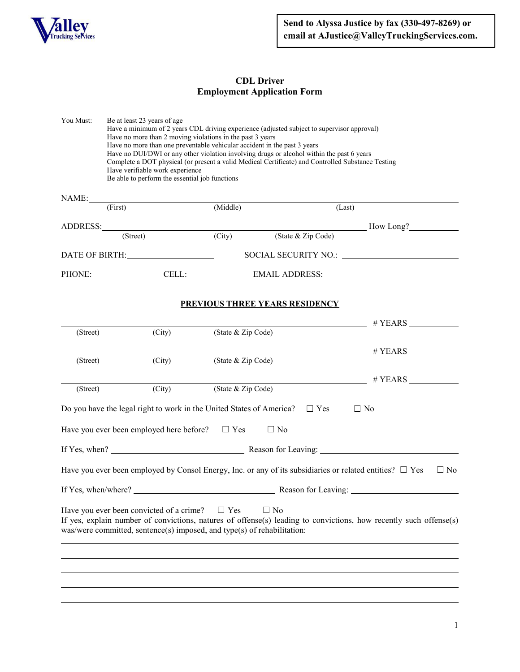

## **CDL Driver Employment Application Form**

You Must: Be at least 23 years of age Have a minimum of 2 years CDL driving experience (adjusted subject to supervisor approval) Have no more than 2 moving violations in the past 3 years Have no more than one preventable vehicular accident in the past 3 years Have no DUI/DWI or any other violation involving drugs or alcohol within the past 6 years Complete a DOT physical (or present a valid Medical Certificate) and Controlled Substance Testing Have verifiable work experience Be able to perform the essential job functions NAME: (First) (Middle) (Last) ADDRESS: (Street) (City) (State & Zip Code) How Long? (State & Zip Code) DATE OF BIRTH: SOCIAL SECURITY NO.: PHONE: CELL: CELL: EMAIL ADDRESS:

### **PREVIOUS THREE YEARS RESIDENCY**

|          |                                                                                                                                |                    |           |            | # <b>YEARS</b>                                                                                                                                                                                                                                                                                                      |  |
|----------|--------------------------------------------------------------------------------------------------------------------------------|--------------------|-----------|------------|---------------------------------------------------------------------------------------------------------------------------------------------------------------------------------------------------------------------------------------------------------------------------------------------------------------------|--|
| (Street) | (City)                                                                                                                         | (State & Zip Code) |           |            |                                                                                                                                                                                                                                                                                                                     |  |
|          |                                                                                                                                |                    |           |            | $\frac{1}{2}$ $\frac{1}{2}$ $\frac{1}{2}$ $\frac{1}{2}$ $\frac{1}{2}$ $\frac{1}{2}$ $\frac{1}{2}$ $\frac{1}{2}$ $\frac{1}{2}$ $\frac{1}{2}$ $\frac{1}{2}$ $\frac{1}{2}$ $\frac{1}{2}$ $\frac{1}{2}$ $\frac{1}{2}$ $\frac{1}{2}$ $\frac{1}{2}$ $\frac{1}{2}$ $\frac{1}{2}$ $\frac{1}{2}$ $\frac{1}{2}$ $\frac{1}{2}$ |  |
| (Street) | (City)                                                                                                                         | (State & Zip Code) |           |            |                                                                                                                                                                                                                                                                                                                     |  |
|          |                                                                                                                                |                    |           |            | $\#$ YEARS                                                                                                                                                                                                                                                                                                          |  |
| (Street) | (City)                                                                                                                         | (State & Zip Code) |           |            |                                                                                                                                                                                                                                                                                                                     |  |
|          | Do you have the legal right to work in the United States of America?                                                           |                    |           | $\Box$ Yes | $\Box$ No                                                                                                                                                                                                                                                                                                           |  |
|          | Have you ever been employed here before?                                                                                       | $\Box$ Yes         | $\Box$ No |            |                                                                                                                                                                                                                                                                                                                     |  |
|          |                                                                                                                                |                    |           |            |                                                                                                                                                                                                                                                                                                                     |  |
|          |                                                                                                                                |                    |           |            | Have you ever been employed by Consol Energy, Inc. or any of its subsidiaries or related entities? $\Box$ Yes<br>$\Box$ No                                                                                                                                                                                          |  |
|          |                                                                                                                                |                    |           |            |                                                                                                                                                                                                                                                                                                                     |  |
|          | Have you ever been convicted of a crime? $\Box$ Yes<br>was/were committed, sentence(s) imposed, and type(s) of rehabilitation: |                    | $\Box$ No |            | If yes, explain number of convictions, natures of offense(s) leading to convictions, how recently such offense(s)                                                                                                                                                                                                   |  |
|          |                                                                                                                                |                    |           |            |                                                                                                                                                                                                                                                                                                                     |  |
|          |                                                                                                                                |                    |           |            |                                                                                                                                                                                                                                                                                                                     |  |
|          |                                                                                                                                |                    |           |            |                                                                                                                                                                                                                                                                                                                     |  |
|          |                                                                                                                                |                    |           |            |                                                                                                                                                                                                                                                                                                                     |  |
|          |                                                                                                                                |                    |           |            |                                                                                                                                                                                                                                                                                                                     |  |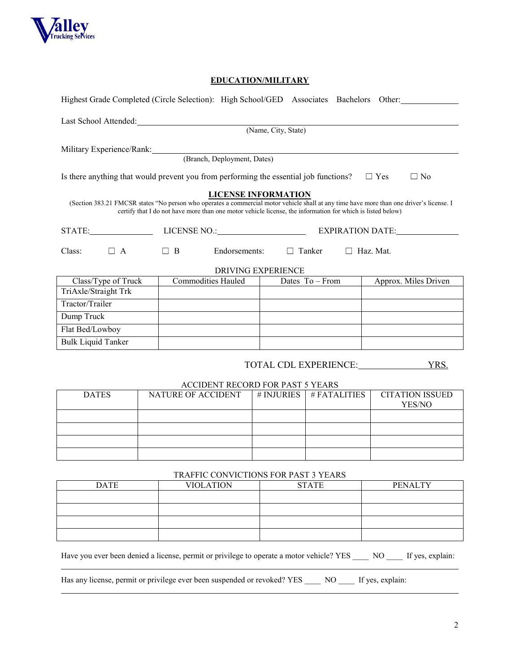

 $\overline{a}$ 

# **EDUCATION/MILITARY**

|                                                                                      | Highest Grade Completed (Circle Selection): High School/GED Associates Bachelors Other:                                                                                                                                                                |                            |                       |                                  |  |
|--------------------------------------------------------------------------------------|--------------------------------------------------------------------------------------------------------------------------------------------------------------------------------------------------------------------------------------------------------|----------------------------|-----------------------|----------------------------------|--|
|                                                                                      | Last School Attended:<br><u>Last School Attended:</u>                                                                                                                                                                                                  |                            |                       |                                  |  |
|                                                                                      |                                                                                                                                                                                                                                                        | (Name, City, State)        |                       |                                  |  |
|                                                                                      |                                                                                                                                                                                                                                                        |                            |                       |                                  |  |
|                                                                                      | Military Experience/Rank: (Branch, Deployment, Dates)                                                                                                                                                                                                  |                            |                       |                                  |  |
|                                                                                      | Is there anything that would prevent you from performing the essential job functions?                                                                                                                                                                  |                            |                       | $\Box$ Yes<br>$\Box$ No          |  |
|                                                                                      | (Section 383.21 FMCSR states "No person who operates a commercial motor vehicle shall at any time have more than one driver's license. I<br>certify that I do not have more than one motor vehicle license, the information for which is listed below) | <b>LICENSE INFORMATION</b> |                       |                                  |  |
|                                                                                      |                                                                                                                                                                                                                                                        | EXPIRATION DATE:           |                       |                                  |  |
| $\Box$ A<br>$\Box$ B<br>Endorsements:<br>$\Box$ Haz. Mat.<br>Class:<br>$\Box$ Tanker |                                                                                                                                                                                                                                                        |                            |                       |                                  |  |
|                                                                                      |                                                                                                                                                                                                                                                        | DRIVING EXPERIENCE         |                       |                                  |  |
| Class/Type of Truck                                                                  | <b>Commodities Hauled</b>                                                                                                                                                                                                                              | Dates $To-From$            |                       | Approx. Miles Driven             |  |
| TriAxle/Straight Trk<br>Tractor/Trailer                                              |                                                                                                                                                                                                                                                        |                            |                       |                                  |  |
| Dump Truck                                                                           |                                                                                                                                                                                                                                                        |                            |                       |                                  |  |
| Flat Bed/Lowboy                                                                      |                                                                                                                                                                                                                                                        |                            |                       |                                  |  |
| <b>Bulk Liquid Tanker</b>                                                            |                                                                                                                                                                                                                                                        |                            |                       |                                  |  |
|                                                                                      |                                                                                                                                                                                                                                                        |                            |                       |                                  |  |
|                                                                                      |                                                                                                                                                                                                                                                        |                            | TOTAL CDL EXPERIENCE: | YRS.                             |  |
|                                                                                      | ACCIDENT RECORD FOR PAST 5 YEARS                                                                                                                                                                                                                       |                            |                       |                                  |  |
| <b>DATES</b>                                                                         | NATURE OF ACCIDENT                                                                                                                                                                                                                                     | # INJURIES                 | # FATALITIES          | <b>CITATION ISSUED</b><br>YES/NO |  |
|                                                                                      |                                                                                                                                                                                                                                                        |                            |                       |                                  |  |
|                                                                                      |                                                                                                                                                                                                                                                        |                            |                       |                                  |  |
|                                                                                      |                                                                                                                                                                                                                                                        |                            |                       |                                  |  |
|                                                                                      |                                                                                                                                                                                                                                                        |                            |                       |                                  |  |
|                                                                                      | TRAFFIC CONVICTIONS FOR PAST 3 YEARS                                                                                                                                                                                                                   |                            |                       |                                  |  |
| <b>DATE</b>                                                                          | <b>VIOLATION</b>                                                                                                                                                                                                                                       |                            | <b>STATE</b>          | <b>PENALTY</b>                   |  |
|                                                                                      |                                                                                                                                                                                                                                                        |                            |                       |                                  |  |
|                                                                                      |                                                                                                                                                                                                                                                        |                            |                       |                                  |  |
|                                                                                      |                                                                                                                                                                                                                                                        |                            |                       |                                  |  |
|                                                                                      |                                                                                                                                                                                                                                                        |                            |                       |                                  |  |

Have you ever been denied a license, permit or privilege to operate a motor vehicle? YES \_\_\_\_\_ NO \_\_\_\_\_ If yes, explain:

Has any license, permit or privilege ever been suspended or revoked? YES \_\_\_\_ NO \_\_\_\_ If yes, explain: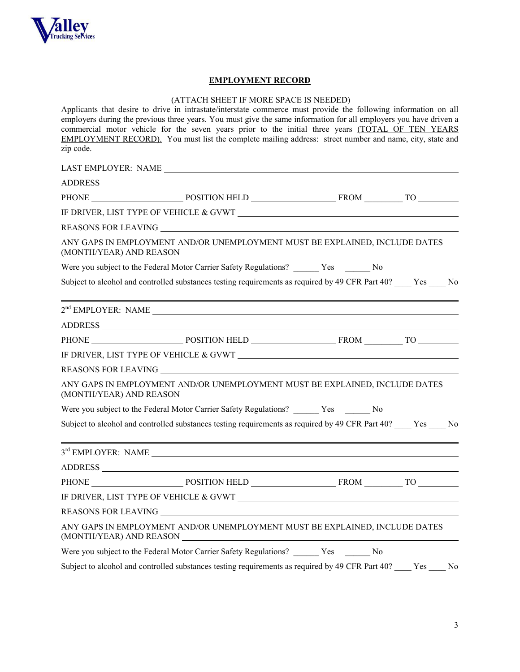

### **EMPLOYMENT RECORD**

### (ATTACH SHEET IF MORE SPACE IS NEEDED)

Applicants that desire to drive in intrastate/interstate commerce must provide the following information on all employers during the previous three years. You must give the same information for all employers you have driven a commercial motor vehicle for the seven years prior to the initial three years (TOTAL OF TEN YEARS EMPLOYMENT RECORD). You must list the complete mailing address: street number and name, city, state and zip code.

| PHONE POSITION HELD FROM FROM TO                                                                                                                                                                                               |  |
|--------------------------------------------------------------------------------------------------------------------------------------------------------------------------------------------------------------------------------|--|
|                                                                                                                                                                                                                                |  |
|                                                                                                                                                                                                                                |  |
| ANY GAPS IN EMPLOYMENT AND/OR UNEMPLOYMENT MUST BE EXPLAINED, INCLUDE DATES                                                                                                                                                    |  |
| Were you subject to the Federal Motor Carrier Safety Regulations? _______ Yes _______ No                                                                                                                                       |  |
| Subject to alcohol and controlled substances testing requirements as required by 49 CFR Part 40? ____ Yes ____ No                                                                                                              |  |
|                                                                                                                                                                                                                                |  |
|                                                                                                                                                                                                                                |  |
|                                                                                                                                                                                                                                |  |
|                                                                                                                                                                                                                                |  |
|                                                                                                                                                                                                                                |  |
|                                                                                                                                                                                                                                |  |
| ANY GAPS IN EMPLOYMENT AND/OR UNEMPLOYMENT MUST BE EXPLAINED, INCLUDE DATES                                                                                                                                                    |  |
| Were you subject to the Federal Motor Carrier Safety Regulations? Yes No                                                                                                                                                       |  |
| Subject to alcohol and controlled substances testing requirements as required by 49 CFR Part 40? ____ Yes ____ No                                                                                                              |  |
| $3rd$ EMPLOYER: NAME $\_\_\_\_\_\_\_\$                                                                                                                                                                                         |  |
|                                                                                                                                                                                                                                |  |
| PHONE POSITION HELD FROM FROM TO                                                                                                                                                                                               |  |
| IF DRIVER, LIST TYPE OF VEHICLE & GVWT                                                                                                                                                                                         |  |
| REASONS FOR LEAVING THE RESIDENCE OF A SERIES OF A SERIES OF A SERIES OF A SERIES OF A SERIES OF A SERIES OF A SERIES OF A SERIES OF A SERIES OF A SERIES OF A SERIES OF A SERIES OF A SERIES OF A SERIES OF A SERIES OF A SER |  |
| ANY GAPS IN EMPLOYMENT AND/OR UNEMPLOYMENT MUST BE EXPLAINED, INCLUDE DATES                                                                                                                                                    |  |
| Were you subject to the Federal Motor Carrier Safety Regulations? _______ Yes _______ No                                                                                                                                       |  |
| Subject to alcohol and controlled substances testing requirements as required by 49 CFR Part 40? ____ Yes ____ No                                                                                                              |  |
|                                                                                                                                                                                                                                |  |